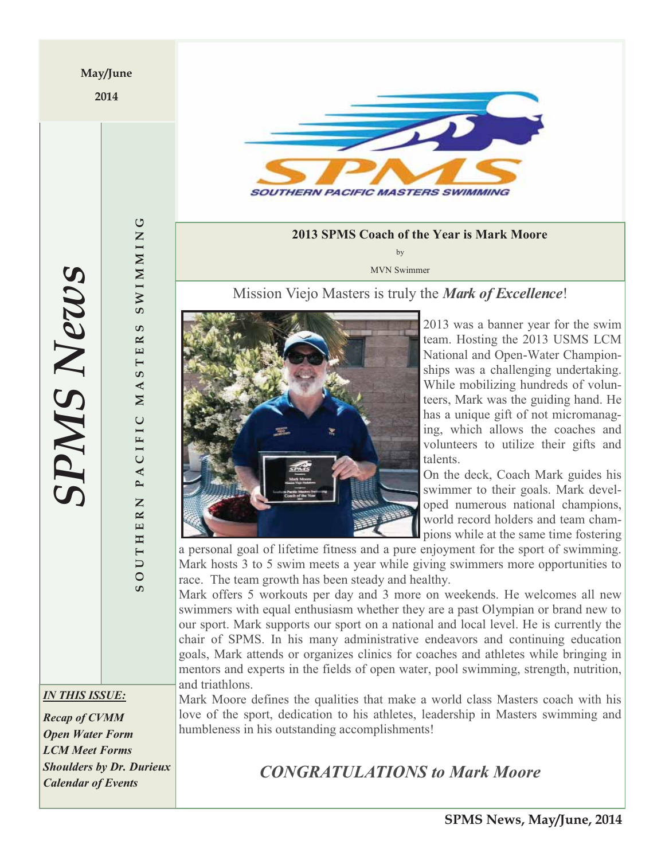**2014** 



## **2013 SPMS Coach of the Year is Mark Moore**

by MVN Swimmer

Mission Viejo Masters is truly the *Mark of Excellence*!



2013 was a banner year for the swim team. Hosting the 2013 USMS LCM National and Open-Water Championships was a challenging undertaking. While mobilizing hundreds of volunteers, Mark was the guiding hand. He has a unique gift of not micromanaging, which allows the coaches and volunteers to utilize their gifts and talents.

On the deck, Coach Mark guides his swimmer to their goals. Mark developed numerous national champions, world record holders and team champions while at the same time fostering

a personal goal of lifetime fitness and a pure enjoyment for the sport of swimming. Mark hosts 3 to 5 swim meets a year while giving swimmers more opportunities to race. The team growth has been steady and healthy.

Mark offers 5 workouts per day and 3 more on weekends. He welcomes all new swimmers with equal enthusiasm whether they are a past Olympian or brand new to our sport. Mark supports our sport on a national and local level. He is currently the chair of SPMS. In his many administrative endeavors and continuing education goals, Mark attends or organizes clinics for coaches and athletes while bringing in mentors and experts in the fields of open water, pool swimming, strength, nutrition, and triathlons.

Mark Moore defines the qualities that make a world class Masters coach with his love of the sport, dedication to his athletes, leadership in Masters swimming and humbleness in his outstanding accomplishments!

# *CONGRATULATIONS to Mark Moore*

**SPMS News** *SPMS News*

**SOUTHERN PACIFIC MASTERS SWIMMING**

PACIFIC

 $\overline{z}$ 

THER

 $\overline{\mathsf{C}}$  $\overline{O}$  $\overline{c}$ 

**SWIMMING** 

ဖာ  $\mathbb{R}$  $\mathbf{E}$  $\overline{\phantom{0}}$ ဖာ  $\blacktriangleleft$  $\mathbb N$ 

*IN THIS ISSUE:* 

*Recap of CVMM Open Water Form LCM Meet Forms Shoulders by Dr. Durieux Calendar of Events*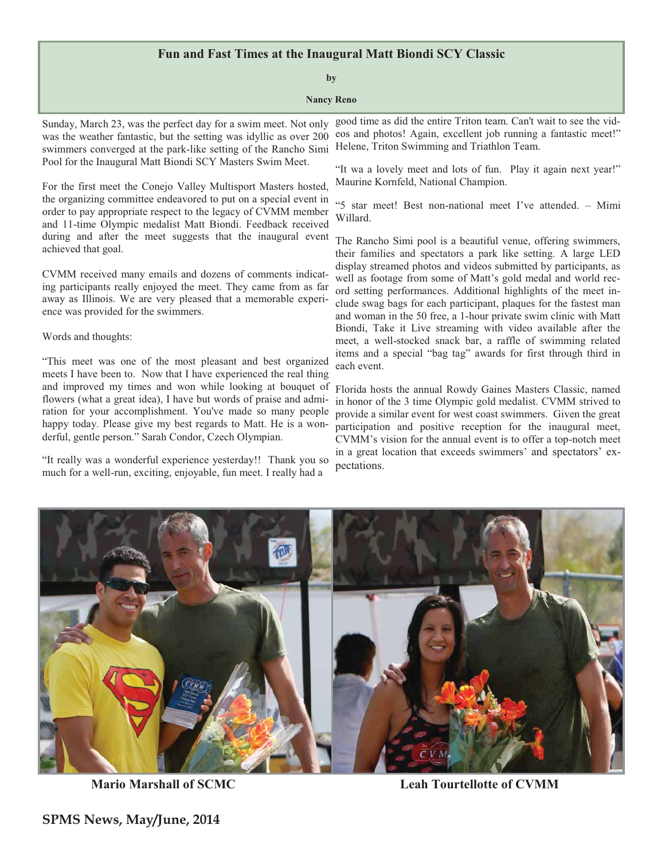## **Fun and Fast Times at the Inaugural Matt Biondi SCY Classic**

### **by**

### **Nancy Reno**

Sunday, March 23, was the perfect day for a swim meet. Not only was the weather fantastic, but the setting was idyllic as over 200 swimmers converged at the park-like setting of the Rancho Simi Pool for the Inaugural Matt Biondi SCY Masters Swim Meet.

For the first meet the Conejo Valley Multisport Masters hosted, the organizing committee endeavored to put on a special event in order to pay appropriate respect to the legacy of CVMM member and 11-time Olympic medalist Matt Biondi. Feedback received during and after the meet suggests that the inaugural event achieved that goal.

CVMM received many emails and dozens of comments indicating participants really enjoyed the meet. They came from as far away as Illinois. We are very pleased that a memorable experience was provided for the swimmers.

### Words and thoughts:

"This meet was one of the most pleasant and best organized meets I have been to. Now that I have experienced the real thing and improved my times and won while looking at bouquet of flowers (what a great idea), I have but words of praise and admiration for your accomplishment. You've made so many people happy today. Please give my best regards to Matt. He is a wonderful, gentle person." Sarah Condor, Czech Olympian.

"It really was a wonderful experience yesterday!! Thank you so much for a well-run, exciting, enjoyable, fun meet. I really had a

good time as did the entire Triton team. Can't wait to see the videos and photos! Again, excellent job running a fantastic meet!" Helene, Triton Swimming and Triathlon Team.

"It wa a lovely meet and lots of fun. Play it again next year!" Maurine Kornfeld, National Champion.

"5 star meet! Best non-national meet I've attended. – Mimi Willard.

The Rancho Simi pool is a beautiful venue, offering swimmers, their families and spectators a park like setting. A large LED display streamed photos and videos submitted by participants, as well as footage from some of Matt's gold medal and world record setting performances. Additional highlights of the meet include swag bags for each participant, plaques for the fastest man and woman in the 50 free, a 1-hour private swim clinic with Matt Biondi, Take it Live streaming with video available after the meet, a well-stocked snack bar, a raffle of swimming related items and a special "bag tag" awards for first through third in each event.

Florida hosts the annual Rowdy Gaines Masters Classic, named in honor of the 3 time Olympic gold medalist. CVMM strived to provide a similar event for west coast swimmers. Given the great participation and positive reception for the inaugural meet, CVMM's vision for the annual event is to offer a top-notch meet in a great location that exceeds swimmers' and spectators' expectations.



 **Mario Marshall of SCMC Leah Tourtellotte of CVMM** 

**SPMS News, May/June, 2014**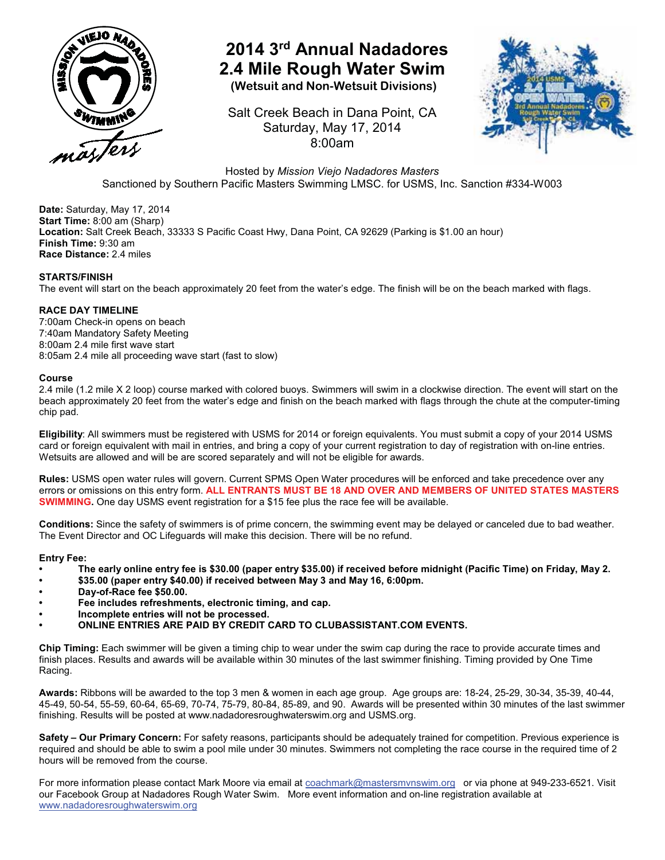

# **2014 3rd Annual Nadadores 2.4 Mile Rough Water Swim**

 **(Wetsuit and Non-Wetsuit Divisions)** 

Salt Creek Beach in Dana Point, CA Saturday, May 17, 2014 8:00am



Hosted by *Mission Viejo Nadadores Masters* Sanctioned by Southern Pacific Masters Swimming LMSC. for USMS, Inc. Sanction #334-W003

**Date:** Saturday, May 17, 2014 **Start Time:** 8:00 am (Sharp) **Location:** Salt Creek Beach, 33333 S Pacific Coast Hwy, Dana Point, CA 92629 (Parking is \$1.00 an hour) **Finish Time:** 9:30 am **Race Distance:** 2.4 miles

## **STARTS/FINISH**

The event will start on the beach approximately 20 feet from the water's edge. The finish will be on the beach marked with flags.

## **RACE DAY TIMELINE**

7:00am Check-in opens on beach 7:40am Mandatory Safety Meeting 8:00am 2.4 mile first wave start 8:05am 2.4 mile all proceeding wave start (fast to slow)

## **Course**

2.4 mile (1.2 mile X 2 loop) course marked with colored buoys. Swimmers will swim in a clockwise direction. The event will start on the beach approximately 20 feet from the water's edge and finish on the beach marked with flags through the chute at the computer-timing chip pad.

**Eligibility**: All swimmers must be registered with USMS for 2014 or foreign equivalents. You must submit a copy of your 2014 USMS card or foreign equivalent with mail in entries, and bring a copy of your current registration to day of registration with on-line entries. Wetsuits are allowed and will be are scored separately and will not be eligible for awards.

**Rules:** USMS open water rules will govern. Current SPMS Open Water procedures will be enforced and take precedence over any errors or omissions on this entry form. **ALL ENTRANTS MUST BE 18 AND OVER AND MEMBERS OF UNITED STATES MASTERS SWIMMING.** One day USMS event registration for a \$15 fee plus the race fee will be available.

**Conditions:** Since the safety of swimmers is of prime concern, the swimming event may be delayed or canceled due to bad weather. The Event Director and OC Lifeguards will make this decision. There will be no refund.

### **Entry Fee:**

- **The early online entry fee is \$30.00 (paper entry \$35.00) if received before midnight (Pacific Time) on Friday, May 2.**
- **\$35.00 (paper entry \$40.00) if received between May 3 and May 16, 6:00pm.**
- **Day-of-Race fee \$50.00.**
- **Fee includes refreshments, electronic timing, and cap.**
- **Incomplete entries will not be processed.**
- **ONLINE ENTRIES ARE PAID BY CREDIT CARD TO CLUBASSISTANT.COM EVENTS.**

**Chip Timing:** Each swimmer will be given a timing chip to wear under the swim cap during the race to provide accurate times and finish places. Results and awards will be available within 30 minutes of the last swimmer finishing. Timing provided by One Time Racing.

**Awards:** Ribbons will be awarded to the top 3 men & women in each age group. Age groups are: 18-24, 25-29, 30-34, 35-39, 40-44, 45-49, 50-54, 55-59, 60-64, 65-69, 70-74, 75-79, 80-84, 85-89, and 90. Awards will be presented within 30 minutes of the last swimmer finishing. Results will be posted at www.nadadoresroughwaterswim.org and USMS.org.

**Safety – Our Primary Concern:** For safety reasons, participants should be adequately trained for competition. Previous experience is required and should be able to swim a pool mile under 30 minutes. Swimmers not completing the race course in the required time of 2 hours will be removed from the course.

For more information please contact Mark Moore via email at coachmark@mastersmvnswim.org or via phone at 949-233-6521. Visit our Facebook Group at Nadadores Rough Water Swim. More event information and on-line registration available at www.nadadoresroughwaterswim.org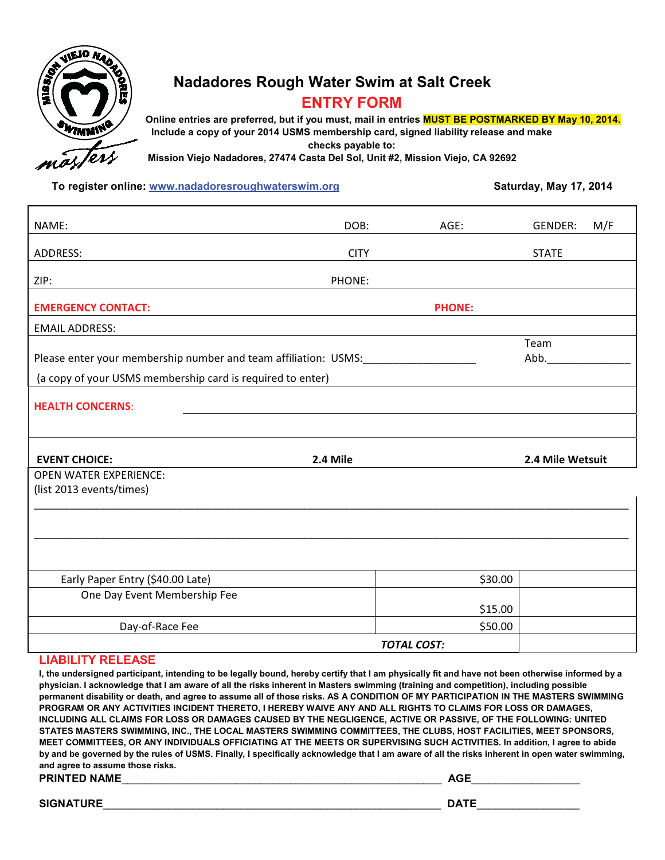

## **Nadadores Rough Water Swim at Salt Creek ENTRY FORM**

 **Online entries are preferred, but if you must, mail in entries MUST BE POSTMARKED BY May 10, 2014. Include a copy of your 2014 USMS membership card, signed liability release and make checks payable to:**

**Mission Viejo Nadadores, 27474 Casta Del Sol, Unit #2, Mission Viejo, CA 92692**

**To register online:** www.nadadoresroughwaterswim.org **Saturday, May 17, 2014 Saturday, May 17, 2014** 

| NAME:                                                           | DOB:        | AGE:          | <b>GENDER:</b>   | M/F |
|-----------------------------------------------------------------|-------------|---------------|------------------|-----|
|                                                                 |             |               |                  |     |
| ADDRESS:                                                        | <b>CITY</b> |               | <b>STATE</b>     |     |
| ZIP:                                                            | PHONE:      |               |                  |     |
| <b>EMERGENCY CONTACT:</b>                                       |             | <b>PHONE:</b> |                  |     |
| <b>EMAIL ADDRESS:</b>                                           |             |               |                  |     |
|                                                                 |             |               | Team             |     |
| Please enter your membership number and team affiliation: USMS: |             |               | Abb.             |     |
| (a copy of your USMS membership card is required to enter)      |             |               |                  |     |
| <b>HEALTH CONCERNS:</b>                                         |             |               |                  |     |
|                                                                 |             |               |                  |     |
|                                                                 |             |               |                  |     |
|                                                                 |             |               |                  |     |
|                                                                 |             |               |                  |     |
| <b>EVENT CHOICE:</b>                                            | 2.4 Mile    |               | 2.4 Mile Wetsuit |     |
| <b>OPEN WATER EXPERIENCE:</b>                                   |             |               |                  |     |
| (list 2013 events/times)                                        |             |               |                  |     |
|                                                                 |             |               |                  |     |
|                                                                 |             |               |                  |     |
|                                                                 |             |               |                  |     |
|                                                                 |             |               |                  |     |
| Early Paper Entry (\$40.00 Late)                                |             | \$30.00       |                  |     |
| One Day Event Membership Fee                                    |             |               |                  |     |
|                                                                 |             | \$15.00       |                  |     |
| Day-of-Race Fee                                                 |             | \$50.00       |                  |     |

## **LIABILITY RELEASE**

**I, the undersigned participant, intending to be legally bound, hereby certify that I am physically fit and have not been otherwise informed by a physician. I acknowledge that I am aware of all the risks inherent in Masters swimming (training and competition), including possible permanent disability or death, and agree to assume all of those risks. AS A CONDITION OF MY PARTICIPATION IN THE MASTERS SWIMMING PROGRAM OR ANY ACTIVITIES INCIDENT THERETO, I HEREBY WAIVE ANY AND ALL RIGHTS TO CLAIMS FOR LOSS OR DAMAGES, INCLUDING ALL CLAIMS FOR LOSS OR DAMAGES CAUSED BY THE NEGLIGENCE, ACTIVE OR PASSIVE, OF THE FOLLOWING: UNITED STATES MASTERS SWIMMING, INC., THE LOCAL MASTERS SWIMMING COMMITTEES, THE CLUBS, HOST FACILITIES, MEET SPONSORS, MEET COMMITTEES, OR ANY INDIVIDUALS OFFICIATING AT THE MEETS OR SUPERVISING SUCH ACTIVITIES. In addition, I agree to abide by and be governed by the rules of USMS. Finally, I specifically acknowledge that I am aware of all the risks inherent in open water swimming, and agree to assume those risks. PRINTED NAME**\_\_\_\_\_\_\_\_\_\_\_\_\_\_\_\_\_\_\_\_\_\_\_\_\_\_\_\_\_\_\_\_\_\_\_\_\_\_\_\_\_\_\_\_\_\_\_\_\_\_\_\_\_ **AGE**\_\_\_\_\_\_\_\_\_\_\_\_\_\_\_\_\_\_

**SIGNATURE**\_\_\_\_\_\_\_\_\_\_\_\_\_\_\_\_\_\_\_\_\_\_\_\_\_\_\_\_\_\_\_\_\_\_\_\_\_\_\_\_\_\_\_\_\_\_\_\_\_\_\_\_\_\_\_\_ **DATE**\_\_\_\_\_\_\_\_\_\_\_\_\_\_\_\_\_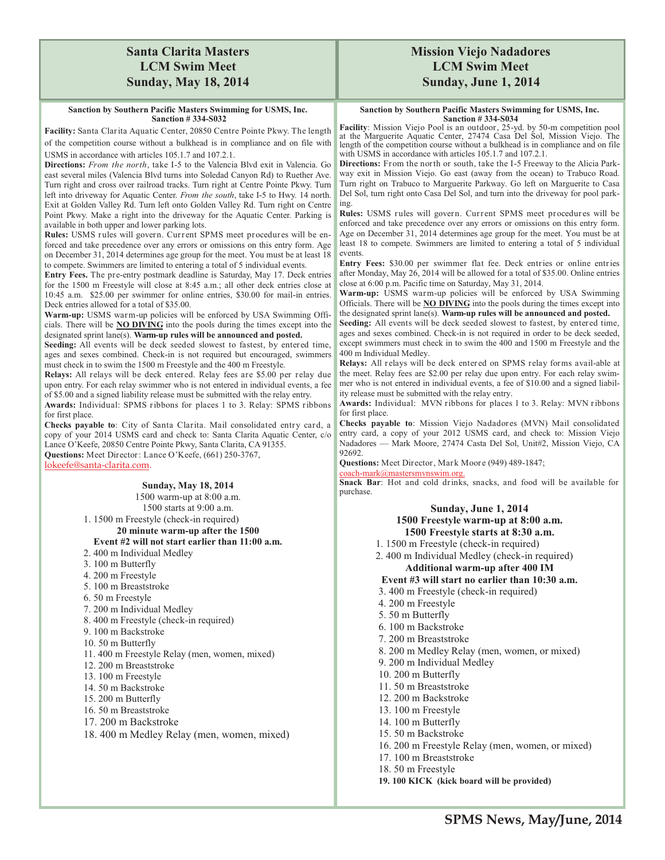## **Santa Clarita Masters LCM Swim Meet Sunday, May 18, 2014**

#### **Sanction by Southern Pacific Masters Swimming for USMS, Inc. Sanction # 334-S032**

#### **Facility:** Santa Clarita Aquatic Center, 20850 Centre Pointe Pkwy. The length of the competition course without a bulkhead is in compliance and on file with USMS in accordance with articles 105.1.7 and 107.2.1.

**Directions:** *From the north*, take I-5 to the Valencia Blvd exit in Valencia. Go east several miles (Valencia Blvd turns into Soledad Canyon Rd) to Ruether Ave. Turn right and cross over railroad tracks. Turn right at Centre Pointe Pkwy. Turn left into driveway for Aquatic Center. *From the south*, take I-5 to Hwy. 14 north. Exit at Golden Valley Rd. Turn left onto Golden Valley Rd. Turn right on Centre Point Pkwy. Make a right into the driveway for the Aquatic Center. Parking is available in both upper and lower parking lots.

**Rules:** USMS rules will govern. Current SPMS meet procedures will be enforced and take precedence over any errors or omissions on this entry form. Age on December 31, 2014 determines age group for the meet. You must be at least 18 to compete. Swimmers are limited to entering a total of 5 individual events.

**Entry Fees.** The pre-entry postmark deadline is Saturday, May 17. Deck entries for the 1500 m Freestyle will close at 8:45 a.m.; all other deck entries close at 10:45 a.m. \$25.00 per swimmer for online entries, \$30.00 for mail-in entries. Deck entries allowed for a total of \$35.00.

**Warm-up:** USMS warm-up policies will be enforced by USA Swimming Officials. There will be **NO DIVING** into the pools during the times except into the designated sprint lane(s). **Warm-up rules will be announced and posted.** 

**Seeding:** All events will be deck seeded slowest to fastest, by entered time, ages and sexes combined. Check-in is not required but encouraged, swimmers must check in to swim the 1500 m Freestyle and the 400 m Freestyle.

**Relays:** All relays will be deck entered. Relay fees are \$5.00 per relay due upon entry. For each relay swimmer who is not entered in individual events, a fee of \$5.00 and a signed liability release must be submitted with the relay entry.

**Awards:** Individual: SPMS ribbons for places 1 to 3. Relay: SPMS ribbons for first place.

**Checks payable to**: City of Santa Clarita. Mail consolidated entry card, a copy of your 2014 USMS card and check to: Santa Clarita Aquatic Center, c/o Lance O'Keefe, 20850 Centre Pointe Pkwy, Santa Clarita, CA 91355.

**Questions:** Meet Director: Lance O'Keefe, (661) 250-3767, lokeefe@santa-clarita.com.

> **Sunday, May 18, 2014**  1500 warm-up at 8:00 a.m. 1500 starts at 9:00 a.m. 1. 1500 m Freestyle (check-in required)

**20 minute warm-up after the 1500 Event #2 will not start earlier than 11:00 a.m.** 

## 2. 400 m Individual Medley

- 3. 100 m Butterfly
- 4. 200 m Freestyle
- 5. 100 m Breaststroke
- 6. 50 m Freestyle
- 
- 7. 200 m Individual Medley
- 8. 400 m Freestyle (check-in required) 9. 100 m Backstroke
- 
- 10. 50 m Butterfly
- 11. 400 m Freestyle Relay (men, women, mixed)
- 12. 200 m Breaststroke
- 13. 100 m Freestyle
- 14. 50 m Backstroke
- 15. 200 m Butterfly
- 16. 50 m Breaststroke
- 17. 200 m Backstroke
- 18. 400 m Medley Relay (men, women, mixed)

## **Mission Viejo Nadadores LCM Swim Meet Sunday, June 1, 2014**

#### **Sanction by Southern Pacific Masters Swimming for USMS, Inc. Sanction # 334-S034**

**Facility**: Mission Viejo Pool is an outdoor, 25-yd. by 50-m competition pool at the Marguerite Aquatic Center, 27474 Casa Del Sol, Mission Viejo. The length of the competition course without a bulkhead is in compliance and on file with USMS in accordance with articles 105.1.7 and 107.2.1.

**Directions:** From the north or south, take the I-5 Freeway to the Alicia Parkway exit in Mission Viejo. Go east (away from the ocean) to Trabuco Road. Turn right on Trabuco to Marguerite Parkway. Go left on Marguerite to Casa Del Sol, turn right onto Casa Del Sol, and turn into the driveway for pool parking.

**Rules:** USMS rules will govern. Current SPMS meet procedures will be enforced and take precedence over any errors or omissions on this entry form. Age on December 31, 2014 determines age group for the meet. You must be at least 18 to compete. Swimmers are limited to entering a total of 5 individual events.

**Entry Fees:** \$30.00 per swimmer flat fee. Deck entries or online entries after Monday, May 26, 2014 will be allowed for a total of \$35.00. Online entries close at 6:00 p.m. Pacific time on Saturday, May 31, 2014.

**Warm-up:** USMS warm-up policies will be enforced by USA Swimming Officials. There will be **NO DIVING** into the pools during the times except into the designated sprint lane(s). **Warm-up rules will be announced and posted.** 

**Seeding:** All events will be deck seeded slowest to fastest, by entered time, ages and sexes combined. Check-in is not required in order to be deck seeded, except swimmers must check in to swim the 400 and 1500 m Freestyle and the 400 m Individual Medley.

**Relays:** All relays will be deck entered on SPMS relay forms avail-able at the meet. Relay fees are \$2.00 per relay due upon entry. For each relay swimmer who is not entered in individual events, a fee of \$10.00 and a signed liability release must be submitted with the relay entry.

**Awards:** Individual: MVN ribbons for places 1 to 3. Relay: MVN ribbons for first place.

**Checks payable to**: Mission Viejo Nadadores (MVN) Mail consolidated entry card, a copy of your 2012 USMS card, and check to: Mission Viejo Nadadores — Mark Moore, 27474 Casta Del Sol, Unit#2, Mission Viejo, CA 92692.

**Questions:** Meet Director, Mark Moore (949) 489-1847;

coach-mark@mastersmvnswim.org.

**Snack Bar**: Hot and cold drinks, snacks, and food will be available for purchase.

### **Sunday, June 1, 2014 1500 Freestyle warm-up at 8:00 a.m. 1500 Freestyle starts at 8:30 a.m.**

- 1. 1500 m Freestyle (check-in required)
- 2. 400 m Individual Medley (check-in required) **Additional warm-up after 400 IM**

## **Event #3 will start no earlier than 10:30 a.m.**

- 3. 400 m Freestyle (check-in required)
- 4. 200 m Freestyle
- 5. 50 m Butterfly
- 6. 100 m Backstroke
- 7. 200 m Breaststroke
- 8. 200 m Medley Relay (men, women, or mixed)
- 9. 200 m Individual Medley
- 10. 200 m Butterfly
- 11. 50 m Breaststroke
- 12. 200 m Backstroke
- 13. 100 m Freestyle
- 14. 100 m Butterfly
- 15. 50 m Backstroke
- 16. 200 m Freestyle Relay (men, women, or mixed)
- 17. 100 m Breaststroke
- 18. 50 m Freestyle
- **19. 100 KICK (kick board will be provided)**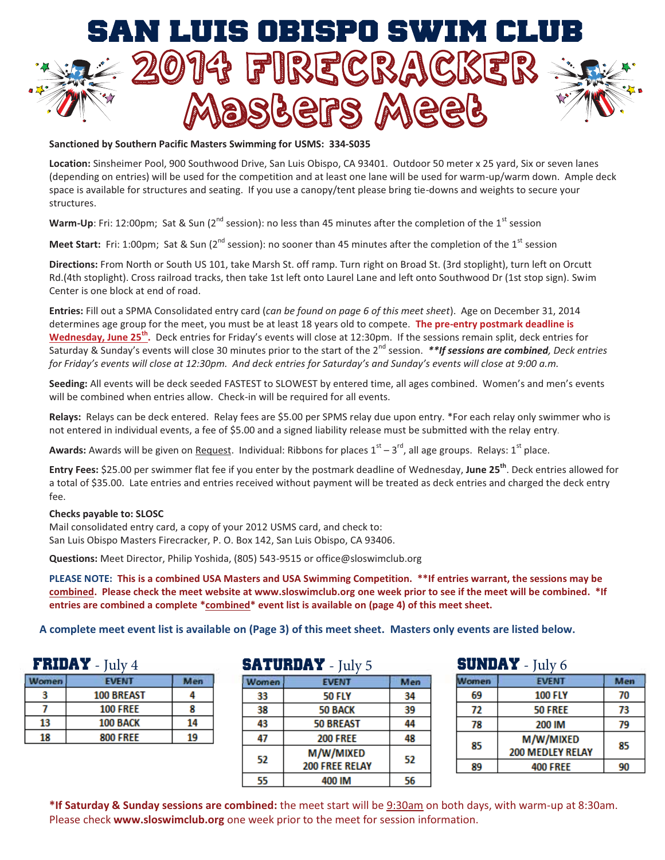

Sanctioned by Southern Pacific Masters Swimming for USMS: 334-S035

**Location:** Sinsheimer Pool, 900 Southwood Drive, San Luis Obispo, CA 93401. Outdoor 50 meter x 25 yard, Six or seven lanes (depending on entries) will be used for the competition and at least one lane will be used for warm-up/warm down. Ample deck space is available for structures and seating. If you use a canopy/tent please bring tie-downs and weights to secure your structures.

Warm-Up: Fri: 12:00pm; Sat & Sun (2<sup>nd</sup> session): no less than 45 minutes after the completion of the 1<sup>st</sup> session

**Meet Start:** Fri: 1:00pm; Sat & Sun (2<sup>nd</sup> session): no sooner than 45 minutes after the completion of the 1<sup>st</sup> session

**Directions:** From North or South US 101, take Marsh St. off ramp. Turn right on Broad St. (3rd stoplight), turn left on Orcutt Rd.(4th stoplight). Cross railroad tracks, then take 1st left onto Laurel Lane and left onto Southwood Dr (1st stop sign). Swim Center is one block at end of road.

**Entries:** Fill out a SPMA Consolidated entry card (*can be found on page 6 of this meet sheet*). Age on December 31, 2014 determines age group for the meet, you must be at least 18 years old to compete. **The pre-entry postmark deadline is Wednesday, June 25th.** Deck entries for Friday's events will close at 12:30pm. If the sessions remain split, deck entries for Saturday & Sunday's events will close 30 minutes prior to the start of the 2<sup>nd</sup> session. *\*\*If sessions are combined, Deck entries for Friday's events will close at 12:30pm. And deck entries for Saturday's and Sunday's events will close at 9:00 a.m.*

**Seeding:** All events will be deck seeded FASTEST to SLOWEST by entered time, all ages combined. Women's and men's events will be combined when entries allow. Check-in will be required for all events.

**Relays:** Relays can be deck entered. Relay fees are \$5.00 per SPMS relay due upon entry. \*For each relay only swimmer who is not entered in individual events, a fee of \$5.00 and a signed liability release must be submitted with the relay entry.

**Awards:** Awards will be given on Request. Individual: Ribbons for places  $1<sup>st</sup> - 3<sup>rd</sup>$ , all age groups. Relays:  $1<sup>st</sup>$  place.

**Entry Fees:** \$25.00 per swimmer flat fee if you enter by the postmark deadline of Wednesday, **June 25th**. Deck entries allowed for a total of \$35.00. Late entries and entries received without payment will be treated as deck entries and charged the deck entry fee.

## **Checks payable to: SLOSC**

Mail consolidated entry card, a copy of your 2012 USMS card, and check to: San Luis Obispo Masters Firecracker, P. O. Box 142, San Luis Obispo, CA 93406.

**Questions:** Meet Director, Philip Yoshida, (805) 543-9515 or office@sloswimclub.org

**PLEASE NOTE: This is a combined USA Masters and USA Swimming Competition. \*\*If entries warrant, the sessions may be combined. Please check the meet website at www.sloswimclub.org one week prior to see if the meet will be combined. \*If entries are combined a complete \*combined\* event list is available on (page 4) of this meet sheet.**

**A complete meet event list is available on (Page 3) of this meet sheet. Masters only events are listed below.**

| $FRIDAY - July 4$ |                 | <b>SATURDAY</b> - July 5 |       |                  | <b>SUNDAY -</b><br>July 6 |       |                |
|-------------------|-----------------|--------------------------|-------|------------------|---------------------------|-------|----------------|
| <b>Women</b>      | <b>EVENT</b>    | Men                      | Women | <b>EVENT</b>     | Men                       | Women | <b>EVENT</b>   |
|                   | 100 BREAST      |                          | 33    | <b>50 FLY</b>    | 34                        | 69    | <b>100 FLY</b> |
|                   | <b>100 FREE</b> |                          | 38    | 50 BACK          | 39                        |       | <b>50 FREE</b> |
| 13                | 100 BACK        | 14                       | 43    | <b>50 BREAST</b> | 44                        | 78    | 200 IM         |
| 18                | <b>800 FREE</b> | 19                       |       | <b>200 FREE</b>  | 48                        | $-$   | M/W/MIX        |

| <b>SATURDAY</b> - July 5 |                                    |     |
|--------------------------|------------------------------------|-----|
| Women                    | <b>EVENT</b>                       | Men |
| 33                       | <b>50 FLY</b>                      | 34  |
| 38                       | <b>50 BACK</b>                     | 39  |
| 43                       | <b>50 BREAST</b>                   | 44  |
| 47                       | <b>200 FREE</b>                    | 48  |
| 52                       | M/W/MIXED<br><b>200 FREE RELAY</b> | 52  |
| 55                       | 400 IM                             | 56  |

| <b>SUNDAY</b> - July 6 |                                      |     |
|------------------------|--------------------------------------|-----|
| <b>lomen</b>           | <b>EVENT</b>                         | Men |
| 69                     | <b>100 FLY</b>                       | 70  |
| 72                     | <b>50 FREE</b>                       | 73  |
| 78                     | 200 IM                               | 79  |
| 85                     | M/W/MIXED<br><b>200 MEDLEY RELAY</b> | 85  |
| Rq                     | <b>400 FREE</b>                      |     |

**\*If Saturday & Sunday sessions are combined:** the meet start will be 9:30am on both days, with warm-up at 8:30am. Please check **www.sloswimclub.org** one week prior to the meet for session information.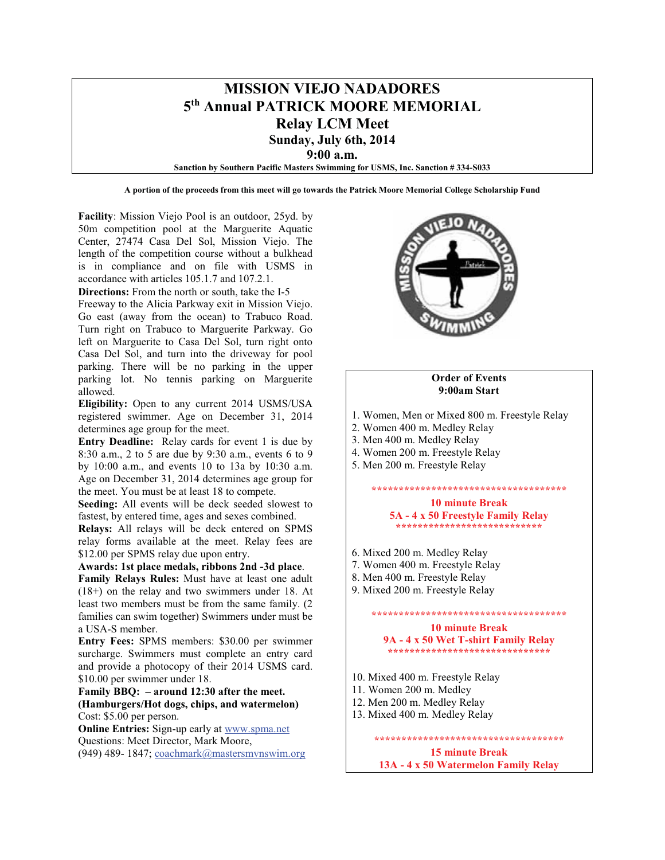## **MISSION VIEJO NADADORES 5th Annual PATRICK MOORE MEMORIAL Relay LCM Meet Sunday, July 6th, 2014**

**9:00 a.m.**

**Sanction by Southern Pacific Masters Swimming for USMS, Inc. Sanction # 334-S033**

**A portion of the proceeds from this meet will go towards the Patrick Moore Memorial College Scholarship Fund**

**Facility**: Mission Viejo Pool is an outdoor, 25yd. by 50m competition pool at the Marguerite Aquatic Center, 27474 Casa Del Sol, Mission Viejo. The length of the competition course without a bulkhead is in compliance and on file with USMS in accordance with articles 105.1.7 and 107.2.1.

**Directions:** From the north or south, take the I-5

Freeway to the Alicia Parkway exit in Mission Viejo. Go east (away from the ocean) to Trabuco Road. Turn right on Trabuco to Marguerite Parkway. Go left on Marguerite to Casa Del Sol, turn right onto Casa Del Sol, and turn into the driveway for pool parking. There will be no parking in the upper parking lot. No tennis parking on Marguerite allowed.

**Eligibility:** Open to any current 2014 USMS/USA registered swimmer. Age on December 31, 2014 determines age group for the meet.

**Entry Deadline:** Relay cards for event 1 is due by 8:30 a.m., 2 to 5 are due by 9:30 a.m., events 6 to 9 by 10:00 a.m., and events 10 to 13a by 10:30 a.m. Age on December 31, 2014 determines age group for the meet. You must be at least 18 to compete.

**Seeding:** All events will be deck seeded slowest to fastest, by entered time, ages and sexes combined.

**Relays:** All relays will be deck entered on SPMS relay forms available at the meet. Relay fees are \$12.00 per SPMS relay due upon entry.

**Awards: 1st place medals, ribbons 2nd -3d place**.

**Family Relays Rules:** Must have at least one adult (18+) on the relay and two swimmers under 18. At least two members must be from the same family. (2 families can swim together) Swimmers under must be a USA-S member.

**Entry Fees:** SPMS members: \$30.00 per swimmer surcharge. Swimmers must complete an entry card and provide a photocopy of their 2014 USMS card. \$10.00 per swimmer under 18.

**Family BBQ: – around 12:30 after the meet. (Hamburgers/Hot dogs, chips, and watermelon)** Cost: \$5.00 per person.

**Online Entries:** Sign-up early at www.spma.net Questions: Meet Director, Mark Moore, (949) 489- 1847; coachmark@mastersmvnswim.org



#### **Order of Events 9:00am Start**

- 1. Women, Men or Mixed 800 m. Freestyle Relay
- 2. Women 400 m. Medley Relay
- 3. Men 400 m. Medley Relay
- 4. Women 200 m. Freestyle Relay
- 5. Men 200 m. Freestyle Relay

## **\*\*\*\*\*\*\*\*\*\*\*\*\*\*\*\*\*\*\*\*\*\*\*\*\*\*\*\*\*\*\*\*\*\*\*\* 10 minute Break 5A - 4 x 50 Freestyle Family Relay**

- **\*\*\*\*\*\*\*\*\*\*\*\*\*\*\*\*\*\*\*\*\*\*\*\*\*\*\***
- 6. Mixed 200 m. Medley Relay
- 7. Women 400 m. Freestyle Relay
- 8. Men 400 m. Freestyle Relay
- 9. Mixed 200 m. Freestyle Relay

### **\*\*\*\*\*\*\*\*\*\*\*\*\*\*\*\*\*\*\*\*\*\*\*\*\*\*\*\*\*\*\*\*\*\*\*\* 10 minute Break 9A - 4 x 50 Wet T-shirt Family Relay \*\*\*\*\*\*\*\*\*\*\*\*\*\*\*\*\*\*\*\*\*\*\*\*\*\*\*\*\*\***

- 
- 10. Mixed 400 m. Freestyle Relay
- 11. Women 200 m. Medley
- 12. Men 200 m. Medley Relay
- 13. Mixed 400 m. Medley Relay

**15 minute Break 13A - 4 x 50 Watermelon Family Relay**

**\*\*\*\*\*\*\*\*\*\*\*\*\*\*\*\*\*\*\*\*\*\*\*\*\*\*\*\*\*\*\*\*\*\*\***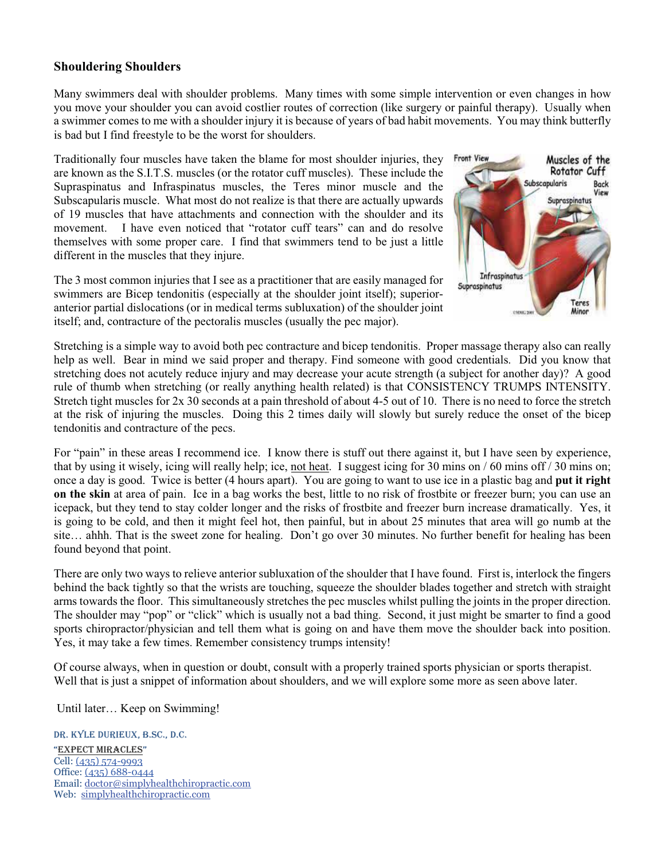## **Shouldering Shoulders**

Many swimmers deal with shoulder problems. Many times with some simple intervention or even changes in how you move your shoulder you can avoid costlier routes of correction (like surgery or painful therapy). Usually when a swimmer comes to me with a shoulder injury it is because of years of bad habit movements. You may think butterfly is bad but I find freestyle to be the worst for shoulders.

Traditionally four muscles have taken the blame for most shoulder injuries, they are known as the S.I.T.S. muscles (or the rotator cuff muscles). These include the Supraspinatus and Infraspinatus muscles, the Teres minor muscle and the Subscapularis muscle. What most do not realize is that there are actually upwards of 19 muscles that have attachments and connection with the shoulder and its movement. I have even noticed that "rotator cuff tears" can and do resolve themselves with some proper care. I find that swimmers tend to be just a little different in the muscles that they injure.



The 3 most common injuries that I see as a practitioner that are easily managed for swimmers are Bicep tendonitis (especially at the shoulder joint itself); superioranterior partial dislocations (or in medical terms subluxation) of the shoulder joint itself; and, contracture of the pectoralis muscles (usually the pec major).

Stretching is a simple way to avoid both pec contracture and bicep tendonitis. Proper massage therapy also can really help as well. Bear in mind we said proper and therapy. Find someone with good credentials. Did you know that stretching does not acutely reduce injury and may decrease your acute strength (a subject for another day)? A good rule of thumb when stretching (or really anything health related) is that CONSISTENCY TRUMPS INTENSITY. Stretch tight muscles for 2x 30 seconds at a pain threshold of about 4-5 out of 10. There is no need to force the stretch at the risk of injuring the muscles. Doing this 2 times daily will slowly but surely reduce the onset of the bicep tendonitis and contracture of the pecs.

For "pain" in these areas I recommend ice. I know there is stuff out there against it, but I have seen by experience, that by using it wisely, icing will really help; ice, not heat. I suggest icing for 30 mins on / 60 mins off / 30 mins on; once a day is good. Twice is better (4 hours apart). You are going to want to use ice in a plastic bag and **put it right on the skin** at area of pain. Ice in a bag works the best, little to no risk of frostbite or freezer burn; you can use an icepack, but they tend to stay colder longer and the risks of frostbite and freezer burn increase dramatically. Yes, it is going to be cold, and then it might feel hot, then painful, but in about 25 minutes that area will go numb at the site… ahhh. That is the sweet zone for healing. Don't go over 30 minutes. No further benefit for healing has been found beyond that point.

There are only two ways to relieve anterior subluxation of the shoulder that I have found. First is, interlock the fingers behind the back tightly so that the wrists are touching, squeeze the shoulder blades together and stretch with straight arms towards the floor. This simultaneously stretches the pec muscles whilst pulling the joints in the proper direction. The shoulder may "pop" or "click" which is usually not a bad thing. Second, it just might be smarter to find a good sports chiropractor/physician and tell them what is going on and have them move the shoulder back into position. Yes, it may take a few times. Remember consistency trumps intensity!

Of course always, when in question or doubt, consult with a properly trained sports physician or sports therapist. Well that is just a snippet of information about shoulders, and we will explore some more as seen above later.

Until later… Keep on Swimming!

DR. KYLE DURIEUX, B.SC., D.C. "EXPECT MIRACLES" Cell: (435) 574-9993 Office: (435) 688-0444 Email: doctor@simplyhealthchiropractic.com Web: simplyhealthchiropractic.com